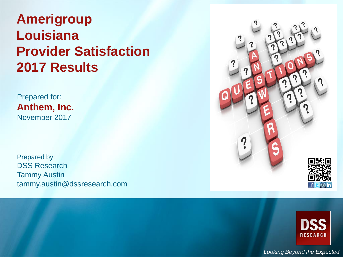# **Amerigroup Louisiana Provider Satisfaction 2017 Results**

Prepared for: **Anthem, Inc.** November 2017

Prepared by: DSS Research Tammy Austin tammy.austin@dssresearch.com





*Looking Beyond the Expected*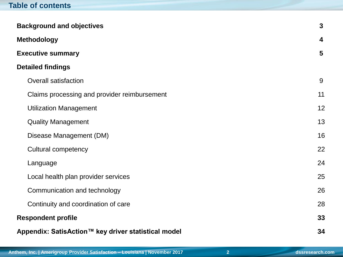## **Table of contents**

| <b>Background and objectives</b>                    | $\mathbf{3}$            |
|-----------------------------------------------------|-------------------------|
| <b>Methodology</b>                                  | $\overline{\mathbf{4}}$ |
| <b>Executive summary</b>                            | 5                       |
| <b>Detailed findings</b>                            |                         |
| <b>Overall satisfaction</b>                         | 9                       |
| Claims processing and provider reimbursement        | 11                      |
| <b>Utilization Management</b>                       | 12                      |
| <b>Quality Management</b>                           | 13                      |
| Disease Management (DM)                             | 16                      |
| <b>Cultural competency</b>                          | 22                      |
| Language                                            | 24                      |
| Local health plan provider services                 | 25                      |
| Communication and technology                        | 26                      |
| Continuity and coordination of care                 | 28                      |
| <b>Respondent profile</b>                           | 33                      |
| Appendix: SatisAction™ key driver statistical model | 34                      |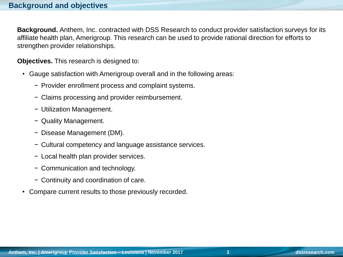**Background.** Anthem, Inc. contracted with DSS Research to conduct provider satisfaction surveys for its affiliate health plan, Amerigroup. This research can be used to provide rational direction for efforts to strengthen provider relationships.

**Objectives.** This research is designed to:

- Gauge satisfaction with Amerigroup overall and in the following areas:
	- − Provider enrollment process and complaint systems.
	- − Claims processing and provider reimbursement.
	- − Utilization Management.
	- − Quality Management.
	- − Disease Management (DM).
	- − Cultural competency and language assistance services.
	- − Local health plan provider services.
	- − Communication and technology.
	- − Continuity and coordination of care.
- Compare current results to those previously recorded.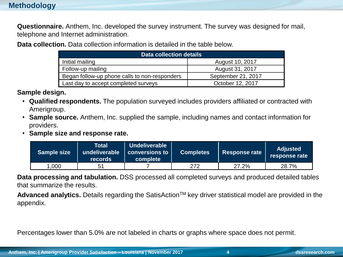## **Methodology**

**Questionnaire.** Anthem, Inc. developed the survey instrument. The survey was designed for mail, telephone and Internet administration.

**Data collection.** Data collection information is detailed in the table below.

| <b>Data collection details</b>                |                    |  |  |  |  |
|-----------------------------------------------|--------------------|--|--|--|--|
| Initial mailing                               | August 10, 2017    |  |  |  |  |
| Follow-up mailing                             | August 31, 2017    |  |  |  |  |
| Began follow-up phone calls to non-responders | September 21, 2017 |  |  |  |  |
| Last day to accept completed surveys          | October 12, 2017   |  |  |  |  |

#### **Sample design.**

- **Qualified respondents.** The population surveyed includes providers affiliated or contracted with Amerigroup.
- **Sample source.** Anthem, Inc. supplied the sample, including names and contact information for providers.
- **Sample size and response rate.**

| <b>Sample size</b> | Total<br>undeliverable<br><b>records</b> | Undeliverable<br>$\mid$ conversions to $\mid$<br>complete | <b>Completes</b> | <b>Response rate</b> | <b>Adjusted</b><br>response rate |
|--------------------|------------------------------------------|-----------------------------------------------------------|------------------|----------------------|----------------------------------|
| .000               | 5 <sup>1</sup>                           |                                                           | 272              | 27.2%                | 28.7%                            |

**Data processing and tabulation.** DSS processed all completed surveys and produced detailed tables that summarize the results.

Advanced analytics. Details regarding the SatisAction<sup>™</sup> key driver statistical model are provided in the appendix.

Percentages lower than 5.0% are not labeled in charts or graphs where space does not permit.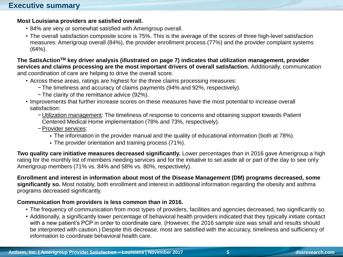#### **Most Louisiana providers are satisfied overall.**

- 84% are very or somewhat satisfied with Amerigroup overall.
- The overall satisfaction composite score is 75%. This is the average of the scores of three high-level satisfaction measures: Amerigroup overall (84%), the provider enrollment process (77%) and the provider complaint systems (64%).

**The SatisActionTM key driver analysis (illustrated on page 7) indicates that utilization management, provider services and claims processing are the most important drivers of overall satisfaction.** Additionally, communication and coordination of care are helping to drive the overall score.

- Across these areas, ratings are highest for the three claims processing measures:
	- − The timeliness and accuracy of claims payments (94% and 92%, respectively).
	- − The clarity of the remittance advice (92%).
- Improvements that further increase scores on these measures have the most potential to increase overall satisfaction:
	- − Utilization management: The timeliness of response to concerns and obtaining support towards Patient Centered Medical Home implementation (78% and 73%, respectively).
	- −Provider services:
		- The information in the provider manual and the quality of educational information (both at 78%).
		- The provider orientation and training process (71%).

**Two quality care initiative measures decreased significantly.** Lower percentages than in 2016 gave Amerigroup a high rating for the monthly list of members needing services and for the initiative to set aside all or part of the day to see only Amerigroup members (71% vs. 84% and 58% vs. 80%, respectively).

**Enrollment and interest in information about most of the Disease Management (DM) programs decreased, some significantly so.** Most notably, both enrollment and interest in additional information regarding the obesity and asthma programs decreased significantly.

#### **Communication from providers is less common than in 2016.**

- The frequency of communication from most types of providers, facilities and agencies decreased, two significantly so.
- Additionally, a significantly lower percentage of behavioral health providers indicated that they typically initiate contact with a new patient's PCP in order to coordinate care. (However, the 2016 sample size was small and results should be interpreted with caution.) Despite this decrease, most are satisfied with the accuracy, timeliness and sufficiency of information to coordinate behavioral health care.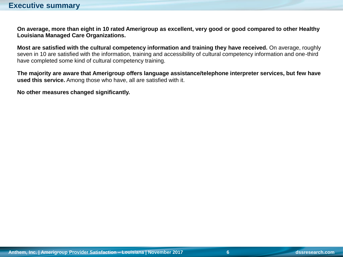**On average, more than eight in 10 rated Amerigroup as excellent, very good or good compared to other Healthy Louisiana Managed Care Organizations.** 

**Most are satisfied with the cultural competency information and training they have received.** On average, roughly seven in 10 are satisfied with the information, training and accessibility of cultural competency information and one-third have completed some kind of cultural competency training.

**The majority are aware that Amerigroup offers language assistance/telephone interpreter services, but few have used this service.** Among those who have, all are satisfied with it.

**No other measures changed significantly.**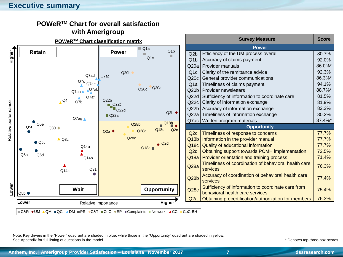#### **Executive summary**



## **POWeRTM Chart for overall satisfaction**

Note: Key drivers in the "Power" quadrant are shaded in blue, while those in the "Opportunity" quadrant are shaded in yellow. See Appendix for full listing of questions in the model.

\* Denotes top-three-box scores.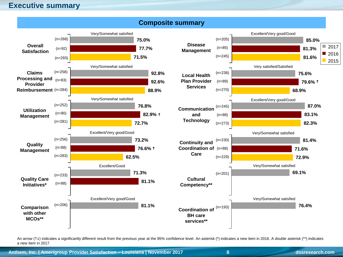#### **Executive summary**



An arrow ( $\uparrow\downarrow$ ) indicates a significantly different result from the previous year at the 95% confidence level. An asterisk (\*) indicates a new item in 2016. A double asterisk (\*\*) indicates a new item in 2017.

**Anthem, Inc. | Amerigroup Provider Satisfaction – Louisiana | November 2017 8 dssresearch.com**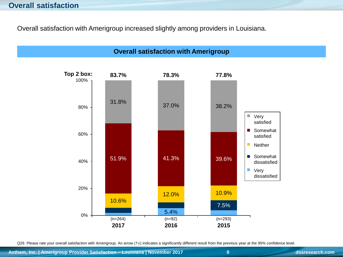Overall satisfaction with Amerigroup increased slightly among providers in Louisiana.



Q29. Please rate your overall satisfaction with Amerigroup. An arrow (1) indicates a significantly different result from the previous year at the 95% confidence level.

**Anthem, Inc. | Amerigroup Provider Satisfaction – Louisiana | November 2017 9 dssresearch.com**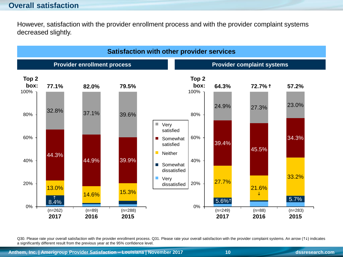## **Overall satisfaction**

However, satisfaction with the provider enrollment process and with the provider complaint systems decreased slightly.



Q30. Please rate your overall satisfaction with the provider enrollment process. Q31. Please rate your overall satisfaction with the provider complaint systems. An arrow (14) indicates a significantly different result from the previous year at the 95% confidence level.

**Anthem, Inc. | Amerigroup Provider Satisfaction – Louisiana | November 2017 10 dssresearch.com**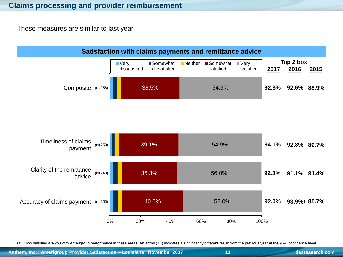These measures are similar to last year.



Q1. How satisfied are you with Amerigroup performance in these areas: An arrow (14) indicates a significantly different result from the previous year at the 95% confidence level.

**Anthem, Inc. | Amerigroup Provider Satisfaction – Louisiana | November 2017 11 dssresearch.com**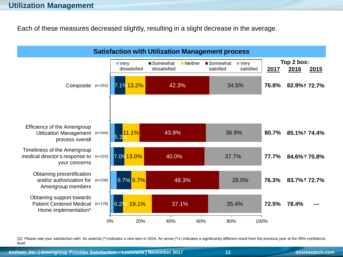Each of these measures decreased slightly, resulting in a slight decrease in the average.



Q2. Please rate your satisfaction with: An asterisk (\*) indicates a new item in 2016. An arrow (1) indicates a significantly different result from the previous year at the 95% confidence level.

**Anthem, Inc. | Amerigroup Provider Satisfaction – Louisiana | November 2017 12 dssresearch.com**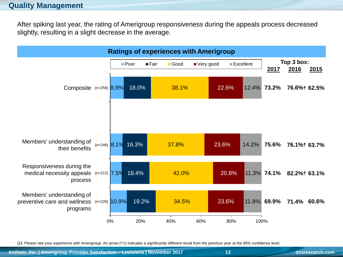#### **Quality Management**

After spiking last year, the rating of Amerigroup responsiveness during the appeals process decreased slightly, resulting in a slight decrease in the average.



Q3. Please rate your experience with Amerigroup: An arrow (1) indicates a significantly different result from the previous year at the 95% confidence level.

**Anthem, Inc. | Amerigroup Provider Satisfaction – Louisiana | November 2017 13 dssresearch.com**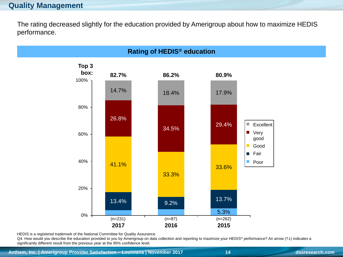The rating decreased slightly for the education provided by Amerigroup about how to maximize HEDIS performance.



HEDIS is a registered trademark of the National Committee for Quality Assurance.

 $QA$ . How would you describe the education provided to you by Amerigroup on data collection and reporting to maximize your HEDIS<sup>®</sup> performance? An arrow ( $\uparrow\downarrow$ ) indicates a significantly different result from the previous year at the 95% confidence level.

**Anthem, Inc. | Amerigroup Provider Satisfaction – Louisiana | November 2017 14 dssresearch.com**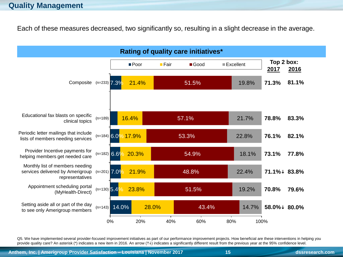#### **Quality Management**

Each of these measures decreased, two significantly so, resulting in a slight decrease in the average.



Q5. We have implemented several provider-focused improvement initiatives as part of our performance improvement projects. How beneficial are these interventions in helping you provide quality care? An asterisk (\*) indicates a new item in 2016. An arrow (1+) indicates a significantly different result from the previous year at the 95% confidence level.

**Anthem, Inc. | Amerigroup Provider Satisfaction – Louisiana | November 2017 15 dssresearch.com**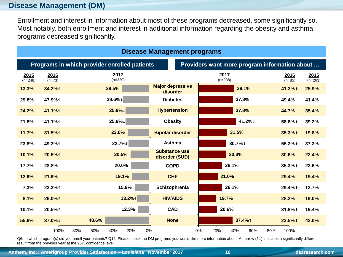## **Disease Management (DM)**

Enrollment and interest in information about most of these programs decreased, some significantly so. Most notably, both enrollment and interest in additional information regarding the obesity and asthma programs decreased significantly.

| Disease Management programs                                                                   |                  |            |                   |          |                                        |                   |                    |                   |
|-----------------------------------------------------------------------------------------------|------------------|------------|-------------------|----------|----------------------------------------|-------------------|--------------------|-------------------|
| Programs in which provider enrolled patients<br>Providers want more program information about |                  |            |                   |          |                                        |                   |                    |                   |
| 2015<br>$(n=248)$                                                                             | 2016<br>$(n=73)$ |            | 2017<br>$(n=220)$ |          |                                        | 2017<br>$(n=238)$ | 2016<br>$(n=85)$   | 2015<br>$(n=263)$ |
| 13.3%                                                                                         | 34.2%1           |            | 29.5%             |          | <b>Major depressive</b><br>disorder    | 39.1%             | 41.2%1             | 25.9%             |
| 29.8%                                                                                         | 47.9%1           |            | 28.6%↓            |          | <b>Diabetes</b>                        | 37.8%             | 49.4%              | 41.4%             |
| 24.2%                                                                                         | 41.1%1           |            | 25.9%↓            |          | <b>Hypertension</b>                    | 37.8%             | 44.7%              | 35.4%             |
| 21.8%                                                                                         | 41.1%1           |            | 25.9%↓            |          | <b>Obesity</b>                         | 41.2%↓            | 58.8% 1            | 39.2%             |
| 11.7%                                                                                         | 31.5%1           |            | 23.6%             |          | <b>Bipolar disorder</b>                | 31.5%             | 35.3%1             | 19.8%             |
| 23.8%                                                                                         | 49.3%1           |            | 22.7%↓            |          | <b>Asthma</b>                          | 30.7%↓            | 55.3%↑             | 37.3%             |
| 10.1%                                                                                         | 20.5%1           |            | 20.5%             |          | <b>Substance use</b><br>disorder (SUD) | 30.3%             | 30.6%              | 22.4%             |
| 17.7%                                                                                         | 28.8%            |            | 20.0%             |          | <b>COPD</b>                            | 26.1%             | 35.3%1             | 23.6%             |
| 12.9%                                                                                         | 21.9%            |            | 19.1%             |          | <b>CHF</b>                             | 21.0%             | 29.4%              | 19.4%             |
| 7.3%                                                                                          | 23.3%1           |            |                   | 15.9%    | Schizophrenia                          | 26.1%             | 29.4% 1            | 13.7%             |
| 8.1%                                                                                          | 26.0%1           |            |                   | $13.2\%$ | <b>HIV/AIDS</b>                        | 19.7%             | 28.2%              | 19.0%             |
| 10.1%                                                                                         | 20.5%1           |            |                   | 12.3%    | <b>CAD</b>                             | 20.6%             | 31.8%1             | 19.4%             |
| 55.6%                                                                                         | 37.0%↓           | 48.6%      |                   |          | <b>None</b>                            | 37.4%1            | $23.5%$ ↓          | 43.0%             |
|                                                                                               | 100%             | 80%<br>60% | 40%               | 20%      | 0%                                     | 20%<br>0%<br>40%  | 60%<br>80%<br>100% |                   |

Q6. In which program(s) did you enroll your patients? Q12. Please check the DM programs you would like more information about: An arrow (14) indicates a significantly different result from the previous year at the 95% confidence level.

**Anthem, Inc. | Amerigroup Provider Satisfaction – Louisiana | November 2017 16 dssresearch.com**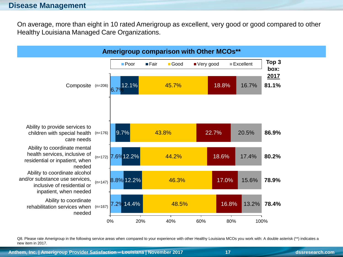On average, more than eight in 10 rated Amerigroup as excellent, very good or good compared to other Healthy Louisiana Managed Care Organizations.



Q8. Please rate Amerigroup in the following service areas when compared to your experience with other Healthy Louisiana MCOs you work with: A double asterisk (\*\*) indicates a new item in 2017.

**Anthem, Inc. | Amerigroup Provider Satisfaction – Louisiana | November 2017 17 dssresearch.com**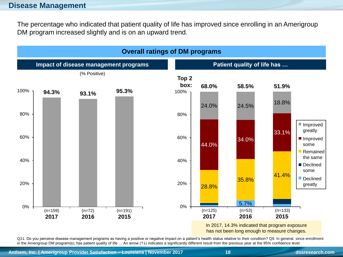The percentage who indicated that patient quality of life has improved since enrolling in an Amerigroup DM program increased slightly and is on an upward trend.



Q11. Do you perceive disease management programs as having a positive or negative impact on a patient's health status relative to their condition? Q9. In general, since enrollment in the Amerigroup DM program(s), has patient quality of life ... An arrow ( $\uparrow\downarrow$ ) indicates a significantly different result from the previous year at the 95% confidence level.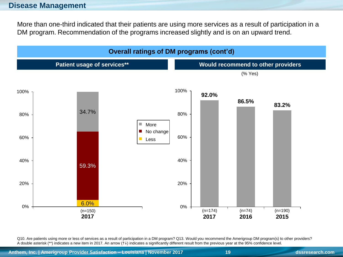More than one-third indicated that their patients are using more services as a result of participation in a DM program. Recommendation of the programs increased slightly and is on an upward trend.

![](_page_18_Figure_2.jpeg)

Q10. Are patients using more or less of services as a result of participation in a DM program? Q13. Would you recommend the Amerigroup DM program(s) to other providers? A double asterisk (\*\*) indicates a new item in 2017. An arrow  $(1\downarrow)$  indicates a significantly different result from the previous year at the 95% confidence level.

**Anthem, Inc. | Amerigroup Provider Satisfaction – Louisiana | November 2017 19 dssresearch.com**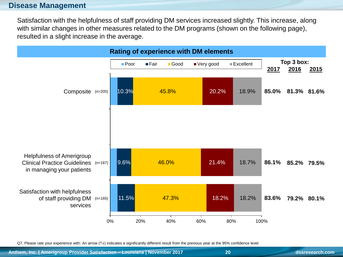Satisfaction with the helpfulness of staff providing DM services increased slightly. This increase, along with similar changes in other measures related to the DM programs (shown on the following page), resulted in a slight increase in the average.

![](_page_19_Figure_2.jpeg)

Q7. Please rate your experience with: An arrow (1) indicates a significantly different result from the previous year at the 95% confidence level.

**Anthem, Inc. | Amerigroup Provider Satisfaction – Louisiana | November 2017 20 dssresearch.com**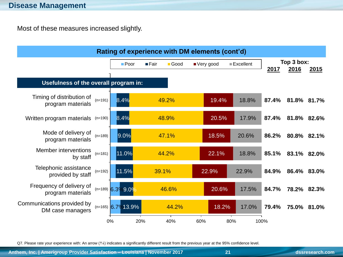Most of these measures increased slightly.

![](_page_20_Figure_2.jpeg)

Q7. Please rate your experience with: An arrow (1) indicates a significantly different result from the previous year at the 95% confidence level.

**Anthem, Inc. | Amerigroup Provider Satisfaction – Louisiana | November 2017 21 dssresearch.com**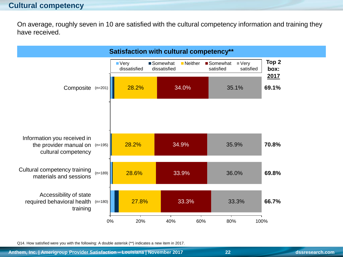On average, roughly seven in 10 are satisfied with the cultural competency information and training they have received.

![](_page_21_Figure_2.jpeg)

Q14. How satisfied were you with the following: A double asterisk (\*\*) indicates a new item in 2017.

**Anthem, Inc. | Amerigroup Provider Satisfaction – Louisiana | November 2017 22 dssresearch.com**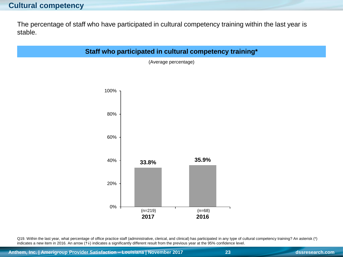#### **Cultural competency**

The percentage of staff who have participated in cultural competency training within the last year is stable.

#### **Staff who participated in cultural competency training\***

(Average percentage)

![](_page_22_Figure_4.jpeg)

Q19. Within the last year, what percentage of office practice staff (administrative, clerical, and clinical) has participated in any type of cultural competency training? An asterisk (\*) indicates a new item in 2016. An arrow (14) indicates a significantly different result from the previous year at the 95% confidence level.

**Anthem, Inc. | Amerigroup Provider Satisfaction – Louisiana | November 2017 23 dssresearch.com**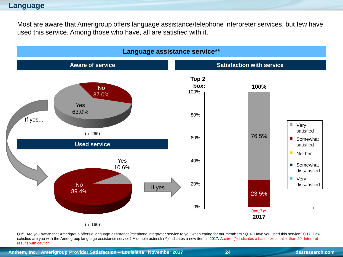#### **Language**

Most are aware that Amerigroup offers language assistance/telephone interpreter services, but few have used this service. Among those who have, all are satisfied with it.

![](_page_23_Figure_2.jpeg)

Q15. Are you aware that Amerigroup offers a language assistance/telephone interpreter service to you when caring for our members? Q16. Have you used this service? Q17. How satisfied are you with the Amerigroup language assistance service? A double asterisk (\*\*) indicates a new item in 2017. A caret (^) indicates a base size smaller than 20. Interpret results with caution.

**Anthem, Inc. | Amerigroup Provider Satisfaction – Louisiana | November 2017 24 dssresearch.com**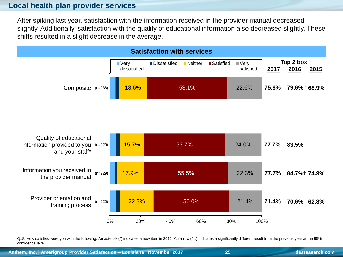#### **Local health plan provider services**

After spiking last year, satisfaction with the information received in the provider manual decreased slightly. Additionally, satisfaction with the quality of educational information also decreased slightly. These shifts resulted in a slight decrease in the average.

![](_page_24_Figure_2.jpeg)

Q18. How satisfied were you with the following: An asterisk (\*) indicates a new item in 2016. An arrow  $(1\downarrow)$  indicates a significantly different result from the previous year at the 95% confidence level.

**Anthem, Inc. | Amerigroup Provider Satisfaction – Louisiana | November 2017 25 dssresearch.com**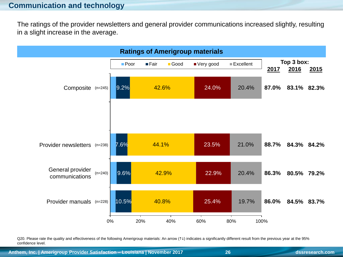The ratings of the provider newsletters and general provider communications increased slightly, resulting in a slight increase in the average.

![](_page_25_Figure_2.jpeg)

Q20. Please rate the quality and effectiveness of the following Amerigroup materials: An arrow (1) indicates a significantly different result from the previous year at the 95% confidence level.

**Anthem, Inc. | Amerigroup Provider Satisfaction – Louisiana | November 2017 26 dssresearch.com**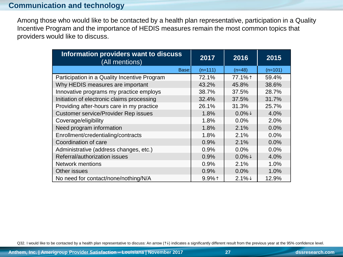## **Communication and technology**

Among those who would like to be contacted by a health plan representative, participation in a Quality Incentive Program and the importance of HEDIS measures remain the most common topics that providers would like to discuss.

| Information providers want to discuss<br>(All mentions) | 2017      | 2016      | 2015      |
|---------------------------------------------------------|-----------|-----------|-----------|
| Base:                                                   | $(n=111)$ | $(n=48)$  | $(n=101)$ |
| Participation in a Quality Incentive Program            | 72.1%     | 77.1%1    | 59.4%     |
| Why HEDIS measures are important                        | 43.2%     | 45.8%     | 38.6%     |
| Innovative programs my practice employs                 | 38.7%     | 37.5%     | 28.7%     |
| Initiation of electronic claims processing              | 32.4%     | 37.5%     | 31.7%     |
| Providing after-hours care in my practice               | 26.1%     | 31.3%     | 25.7%     |
| <b>Customer service/Provider Rep issues</b>             | 1.8%      | $0.0\% +$ | 4.0%      |
| Coverage/eligibility                                    | 1.8%      | 0.0%      | 2.0%      |
| Need program information                                | 1.8%      | 2.1%      | 0.0%      |
| Enrollment/credentialing/contracts                      | 1.8%      | 2.1%      | 0.0%      |
| Coordination of care                                    | 0.9%      | 2.1%      | 0.0%      |
| Administrative (address changes, etc.)                  | 0.9%      | 0.0%      | 0.0%      |
| Referral/authorization issues                           | 0.9%      | $0.0\% +$ | 4.0%      |
| <b>Network mentions</b>                                 | 0.9%      | 2.1%      | 1.0%      |
| Other issues                                            | 0.9%      | 0.0%      | 1.0%      |
| No need for contact/none/nothing/N/A                    | $9.9%$ 1  | $2.1\% +$ | 12.9%     |

Q32. I would like to be contacted by a health plan representative to discuss: An arrow (1) indicates a significantly different result from the previous year at the 95% confidence level.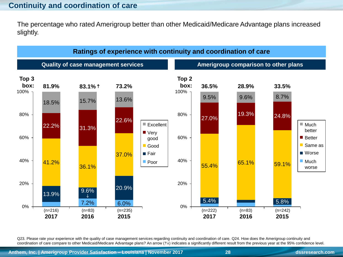## **Continuity and coordination of care**

The percentage who rated Amerigroup better than other Medicaid/Medicare Advantage plans increased slightly.

![](_page_27_Figure_2.jpeg)

Q23. Please rate your experience with the quality of case management services regarding continuity and coordination of care. Q24. How does the Amerigroup continuity and coordination of care compare to other Medicaid/Medicare Advantage plans? An arrow (1) indicates a significantly different result from the previous year at the 95% confidence level.

**Anthem, Inc. | Amerigroup Provider Satisfaction – Louisiana | November 2017 28 dssresearch.com**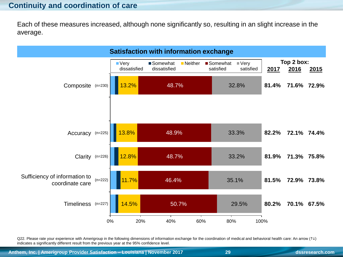## **Continuity and coordination of care**

Each of these measures increased, although none significantly so, resulting in an slight increase in the average.

![](_page_28_Figure_2.jpeg)

Q22. Please rate your experience with Amerigroup in the following dimensions of information exchange for the coordination of medical and behavioral health care: An arrow  $(1\downarrow)$ indicates a significantly different result from the previous year at the 95% confidence level.

**Anthem, Inc. | Amerigroup Provider Satisfaction – Louisiana | November 2017 29 dssresearch.com**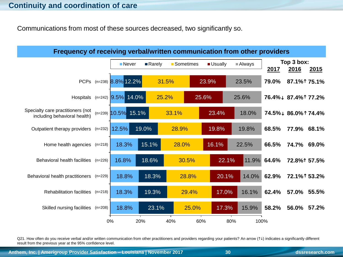Communications from most of these sources decreased, two significantly so.

![](_page_29_Figure_2.jpeg)

Q21. How often do you receive verbal and/or written communication from other practitioners and providers regarding your patients? An arrow (1+) indicates a significantly different result from the previous year at the 95% confidence level.

**Anthem, Inc. | Amerigroup Provider Satisfaction – Louisiana | November 2017 30 dssresearch.com**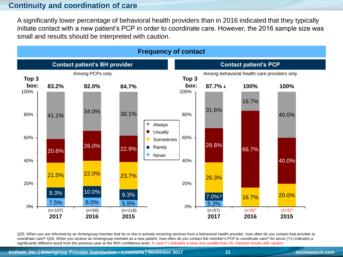## **Continuity and coordination of care**

A significantly lower percentage of behavioral health providers than in 2016 indicated that they typically initiate contact with a new patient's PCP in order to coordinate care. However, the 2016 sample size was small and results should be interpreted with caution.

![](_page_30_Figure_2.jpeg)

Q25. When you are informed by an Amerigroup member that he or she is actively receiving services from a behavioral health provider, how often do you contact that provider to coordinate care? Q26. When you receive an Amerigroup member as a new patient, how often do you contact the member's PCP to coordinate care? An arrow (1) indicates a significantly different result from the previous year at the 95% confidence level. A caret ( $\land$ ) indicates a base size smaller than 20. Interpret results with caution

**Anthem, Inc. | Amerigroup Provider Satisfaction – Louisiana | November 2017 31 dssresearch.com**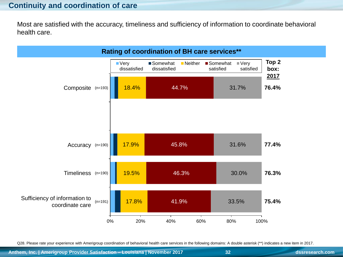## **Continuity and coordination of care**

Most are satisfied with the accuracy, timeliness and sufficiency of information to coordinate behavioral health care.

![](_page_31_Figure_2.jpeg)

Q28. Please rate your experience with Amerigroup coordination of behavioral health care services in the following domains: A double asterisk (\*\*) indicates a new item in 2017.

**Anthem, Inc. | Amerigroup Provider Satisfaction – Louisiana | November 2017 32 dssresearch.com**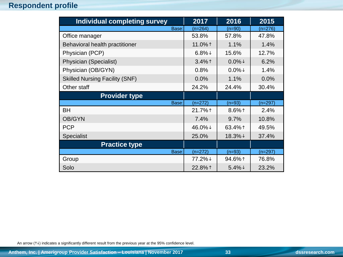## **Respondent profile**

| Individual completing survey          | 2017      | 2016      | 2015      |
|---------------------------------------|-----------|-----------|-----------|
| Base:                                 | $(n=264)$ | $(n=90)$  | $(n=276)$ |
| Office manager                        | 53.8%     | 57.8%     | 47.8%     |
| Behavioral health practitioner        | 11.0%1    | 1.1%      | 1.4%      |
| Physician (PCP)                       | $6.8\% +$ | 15.6%     | 12.7%     |
| Physician (Specialist)                | $3.4\%$ ↑ | $0.0\% +$ | 6.2%      |
| Physician (OB/GYN)                    | 0.8%      | $0.0\% +$ | 1.4%      |
| <b>Skilled Nursing Facility (SNF)</b> | 0.0%      | 1.1%      | 0.0%      |
| Other staff                           | 24.2%     | 24.4%     | 30.4%     |
| <b>Provider type</b>                  |           |           |           |
| Base:                                 | $(n=272)$ | $(n=93)$  | $(n=297)$ |
| BH                                    | 21.7%1    | $8.6\%$ ↑ | 2.4%      |
| <b>OB/GYN</b>                         | 7.4%      | 9.7%      | 10.8%     |
| <b>PCP</b>                            | 46.0%↓    | 63.4%1    | 49.5%     |
| Specialist                            | 25.0%     | 18.3%↓    | 37.4%     |
| <b>Practice type</b>                  |           |           |           |
| Base:                                 | $(n=272)$ | $(n=93)$  | $(n=297)$ |
| Group                                 | 77.2%↓    | 94.6%1    | 76.8%     |
| Solo                                  | 22.8%1    | $5.4\% +$ | 23.2%     |

An arrow ( $\uparrow\downarrow$ ) indicates a significantly different result from the previous year at the 95% confidence level.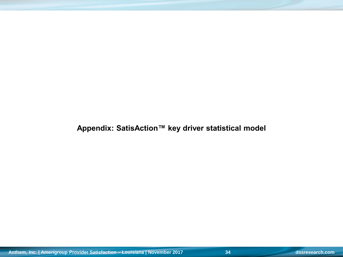**Appendix: SatisAction™ key driver statistical model**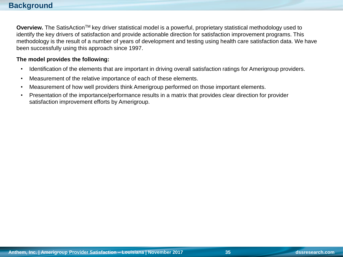**Overview.** The SatisAction™ key driver statistical model is a powerful, proprietary statistical methodology used to identify the key drivers of satisfaction and provide actionable direction for satisfaction improvement programs. This methodology is the result of a number of years of development and testing using health care satisfaction data. We have been successfully using this approach since 1997.

#### **The model provides the following:**

- Identification of the elements that are important in driving overall satisfaction ratings for Amerigroup providers.
- Measurement of the relative importance of each of these elements.
- Measurement of how well providers think Amerigroup performed on those important elements.
- Presentation of the importance/performance results in a matrix that provides clear direction for provider satisfaction improvement efforts by Amerigroup.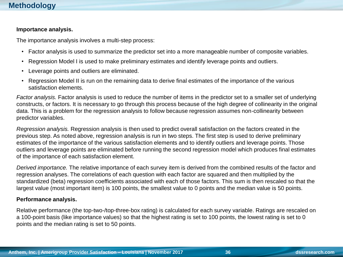#### **Importance analysis.**

The importance analysis involves a multi-step process:

- Factor analysis is used to summarize the predictor set into a more manageable number of composite variables.
- Regression Model I is used to make preliminary estimates and identify leverage points and outliers.
- Leverage points and outliers are eliminated.
- Regression Model II is run on the remaining data to derive final estimates of the importance of the various satisfaction elements.

*Factor analysis.* Factor analysis is used to reduce the number of items in the predictor set to a smaller set of underlying constructs, or factors. It is necessary to go through this process because of the high degree of collinearity in the original data. This is a problem for the regression analysis to follow because regression assumes non-collinearity between predictor variables.

*Regression analysis.* Regression analysis is then used to predict overall satisfaction on the factors created in the previous step. As noted above, regression analysis is run in two steps. The first step is used to derive preliminary estimates of the importance of the various satisfaction elements and to identify outliers and leverage points. Those outliers and leverage points are eliminated before running the second regression model which produces final estimates of the importance of each satisfaction element.

*Derived importance.* The relative importance of each survey item is derived from the combined results of the factor and regression analyses. The correlations of each question with each factor are squared and then multiplied by the standardized (beta) regression coefficients associated with each of those factors. This sum is then rescaled so that the largest value (most important item) is 100 points, the smallest value to 0 points and the median value is 50 points.

#### **Performance analysis.**

Relative performance (the top-two-/top-three-box rating) is calculated for each survey variable. Ratings are rescaled on a 100-point basis (like importance values) so that the highest rating is set to 100 points, the lowest rating is set to 0 points and the median rating is set to 50 points.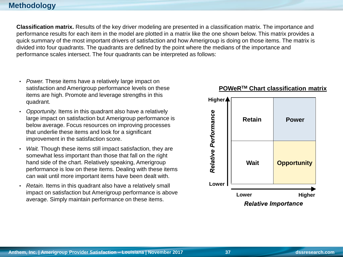### **Methodology**

**Classification matrix.** Results of the key driver modeling are presented in a classification matrix. The importance and performance results for each item in the model are plotted in a matrix like the one shown below. This matrix provides a quick summary of the most important drivers of satisfaction and how Amerigroup is doing on those items. The matrix is divided into four quadrants. The quadrants are defined by the point where the medians of the importance and performance scales intersect. The four quadrants can be interpreted as follows:

- *Power.* These items have a relatively large impact on satisfaction and Amerigroup performance levels on these items are high. Promote and leverage strengths in this quadrant.
- *Opportunity.* Items in this quadrant also have a relatively large impact on satisfaction but Amerigroup performance is below average. Focus resources on improving processes that underlie these items and look for a significant improvement in the satisfaction score.
- *Wait.* Though these items still impact satisfaction, they are somewhat less important than those that fall on the right hand side of the chart. Relatively speaking, Amerigroup performance is low on these items. Dealing with these items can wait until more important items have been dealt with.
- *Retain.* Items in this quadrant also have a relatively small impact on satisfaction but Amerigroup performance is above average. Simply maintain performance on these items.

![](_page_36_Figure_6.jpeg)

#### **POWeRTM Chart classification matrix**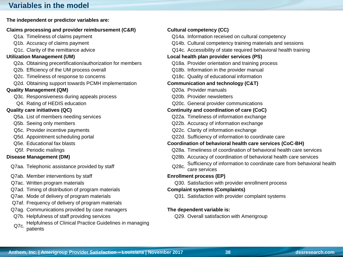## **Variables in the model**

#### **The independent or predictor variables are:**

#### **Claims processing and provider reimbursement (C&R)** Q1a. Timeliness of claims payment Q1b. Accuracy of claims payment Q1c. Clarity of the remittance advice **Utilization Management (UM)** Q2a. Obtaining precertification/authorization for members Q2b. Efficiency of the UM process overall Q2c. Timeliness of response to concerns Q2d. Obtaining support towards PCMH implementation **Quality Management (QM)** Q3c. Responsiveness during appeals process Q4. Rating of HEDIS education **Quality care initiatives (QC)** Q5a. List of members needing services Q5b. Seeing only members Q5c. Provider incentive payments Q5d. Appointment scheduling portal Q5e. Educational fax blasts **Coordination of behavioral health care services (CoC-BH)** Q5f. Periodic mailings **Disease Management (DM)** Q7aa. Telephonic assistance provided by staff Q7ab. Member interventions by staff Q7ac. Written program materials Q7ad. Timing of distribution of program materials Q7ae. Mode of delivery of program materials Q7af. Frequency of delivery of program materials Q7ag. Communications provided by case managers Q7b. Helpfulness of staff providing services

Q7c. Helpfulness of Clinical Practice Guidelines in managing patients

| <b>Cultural competency (CC)</b>                                               |
|-------------------------------------------------------------------------------|
| Q14a. Information received on cultural competency                             |
| Q14b. Cultural competency training materials and sessions                     |
| Q14c. Accessibility of state required behavioral health training              |
| Local health plan provider services (PS)                                      |
| Q18a. Provider orientation and training process                               |
| Q18b. Information in the provider manual                                      |
| Q18c. Quality of educational information                                      |
| <b>Communication and technology (C&amp;T)</b>                                 |
| Q20a. Provider manuals                                                        |
| Q20b. Provider newsletters                                                    |
| Q20c. General provider communications                                         |
| Continuity and coordination of care (CoC)                                     |
| Q22a. Timeliness of information exchange                                      |
| Q22b. Accuracy of information exchange                                        |
| Q22c. Clarity of information exchange                                         |
| Q22d. Sufficiency of information to coordinate care                           |
| Coordination of behavioral health care services (CoC-BH)                      |
| Q28a. Timeliness of coordination of behavioral health care services           |
| Q28b. Accuracy of coordination of behavioral health care services             |
| Sufficiency of information to coordinate care from behavioral health<br>Q28c. |
| care services                                                                 |
| <b>Enrollment process (EP)</b>                                                |
| Q30. Satisfaction with provider enrollment process                            |
| <b>Complaint systems (Complaints)</b>                                         |
| Q31. Satisfaction with provider complaint systems                             |
| The dependent variable is:                                                    |
| 029 Overall satisfaction with Amerigroup                                      |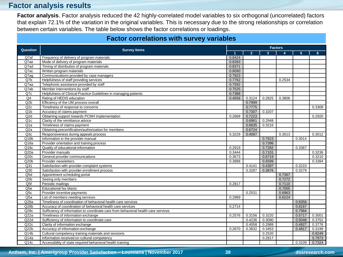#### **Factor analysis results**

**Factor analysis**. Factor analysis reduced the 42 highly-correlated model variables to six orthogonal (uncorrelated) factors that explain 72.1% of the variation in the original variables. This is necessary due to the strong relationships or correlation between certain variables. The table below shows the factor correlations or loadings.

|                  | <b>Factor correlations with survey variables</b>                                   |                |                |        |                  |                |        |  |
|------------------|------------------------------------------------------------------------------------|----------------|----------------|--------|------------------|----------------|--------|--|
|                  |                                                                                    |                | <b>Factors</b> |        |                  |                |        |  |
| <b>Question</b>  | <b>Survey Items</b>                                                                | $\overline{1}$ | $\overline{2}$ | 3      | $\blacktriangle$ | 5 <sup>5</sup> | 6      |  |
| Q7af             | Frequency of delivery of program materials                                         | 0.8424         |                |        |                  |                |        |  |
| Q7ae             | Mode of delivery of program materials                                              | 0.8393         |                |        |                  |                |        |  |
| Q7ad             | Timing of distribution of program materials                                        | 0.8371         |                |        |                  |                |        |  |
| Q7ac             | Written program materials                                                          | 0.8090         |                |        |                  |                |        |  |
| Q7ag             | Communications provided by case managers                                           | 0.7923         |                |        |                  |                |        |  |
| Q7b              | Helpfulness of staff providing services                                            | 0.7762         |                |        | 0.2534           |                |        |  |
| Q7aa             | Telephonic assistance provided by staff                                            | 0.7592         |                |        |                  |                |        |  |
| Q7ab             | Member interventions by staff                                                      | 0.7525         |                |        |                  |                |        |  |
| Q7c              | Helpfulness of Clinical Practice Guidelines in managing patients                   | 0.7388         |                |        |                  |                |        |  |
| Q <sub>4</sub>   | Rating of HEDIS education                                                          | 0.4556         | 0.3124         | 0.2825 | 0.3806           |                |        |  |
| Q <sub>2</sub> b | Efficiency of the UM process overall                                               |                | 0.7999         |        |                  |                |        |  |
| Q2c              | Timeliness of response to concerns                                                 |                | 0.7775         |        |                  |                | 0.3308 |  |
| Q <sub>1</sub> b | Accuracy of claims payment                                                         |                | 0.7307         | 0.3207 |                  |                |        |  |
| Q2d              | Obtaining support towards PCMH implementation                                      | 0.2668         | 0.7223         |        |                  |                | 0.2920 |  |
| Q <sub>1</sub> c | Clarity of the remittance advice                                                   |                | 0.6961         | 0.2948 |                  |                |        |  |
| Q <sub>1</sub> a | Timeliness of claims payment                                                       |                | 0.6835         | 0.3216 |                  |                |        |  |
| Q <sub>2</sub> a | Obtaining precertification/authorization for members                               |                | 0.6724         |        |                  |                |        |  |
| Q3c              | Responsiveness during appeals process                                              | 0.3229         | 0.4097         |        | 0.3013           |                | 0.3012 |  |
| Q18b             | Information in the provider manual                                                 |                |                | 0.7623 |                  | 0.3014         |        |  |
| Q <sub>18a</sub> | Provider orientation and training process                                          |                |                | 0.7396 |                  |                |        |  |
| Q <sub>18c</sub> | Quality of educational information                                                 | 0.2919         |                | 0.7282 |                  | 0.3367         |        |  |
| Q20a             | Provider manuals                                                                   | 0.3444         |                | 0.7101 |                  |                | 0.3236 |  |
| Q20c             | General provider communications                                                    | 0.3673         |                | 0.6719 |                  |                | 0.3210 |  |
| Q20b             | Provider newsletters                                                               | 0.3888         |                | 0.6599 |                  |                | 0.3384 |  |
| Q <sub>31</sub>  | Satisfaction with provider complaint systems                                       |                | 0.4141         | 0.4397 |                  | 0.3210         |        |  |
| Q30              | Satisfaction with provider enrollment process                                      |                | 0.3287         | 0.3876 |                  | 0.3279         |        |  |
| Q5d              | Appointment scheduling portal                                                      |                |                |        | 0.7367           |                |        |  |
| Q5b              | Seeing only members                                                                |                |                |        | 0.7272           |                |        |  |
| Q5f              | Periodic mailings                                                                  | 0.2817         |                |        | 0.7110           |                |        |  |
| Q <sub>5e</sub>  | <b>Educational fax blasts</b>                                                      |                |                |        | 0.7005           |                |        |  |
| Q <sub>5c</sub>  | Provider incentive payments                                                        |                | 0.2531         |        | 0.6963           |                |        |  |
| Q5a              | List of members needing services                                                   | 0.2989         |                |        | 0.6224           |                |        |  |
| Q28a             | Timeliness of coordination of behavioral health care services                      |                |                |        |                  | 0.8356         |        |  |
| Q28b             | Accuracy of coordination of behavioral health care services                        | 0.2714         |                |        |                  | 0.8167         |        |  |
| Q28c             | Sufficiency of information to coordinate care from behavioral health care services |                |                |        |                  | 0.7984         |        |  |
| Q22a             | Timeliness of information exchange                                                 | 0.2576         | 0.3156         | 0.3220 |                  | 0.5717         | 0.3001 |  |
| Q22d             | Sufficiency of information to coordinate care                                      |                | 0.4236         | 0.3090 |                  | 0.5048         | 0.3752 |  |
| Q22c             | Clarity of information exchange                                                    |                | 0.4058         | 0.2989 |                  | 0.4927         | 0.3776 |  |
| Q22b             | Accuracy of information exchange                                                   | 0.2670         | 0.3832         | 0.3453 |                  | 0.4817         | 0.3199 |  |
| Q14b             | Cultural competency training materials and sessions                                |                |                | 0.2520 |                  |                | 0.8249 |  |
| Q14a             | Information received on cultural competency                                        |                |                | 0.2817 |                  |                | 0.7973 |  |
| Q14c             | Accessibility of state required behavioral health training                         |                |                |        |                  | 0.3109         | 0.7324 |  |

**Anthem, Inc. | Amerigroup Provider Satisfaction – Louisiana | November 2017 39 dssresearch.com**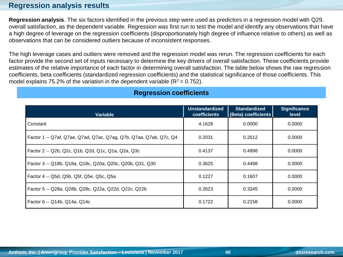## **Regression analysis results**

**Regression analysis**. The six factors identified in the previous step were used as predictors in a regression model with Q29, overall satisfaction, as the dependent variable. Regression was first run to test the model and identify any observations that have a high degree of leverage on the regression coefficients (disproportionately high degree of influence relative to others) as well as observations that can be considered outliers because of inconsistent responses.

The high leverage cases and outliers were removed and the regression model was rerun. The regression coefficients for each factor provide the second set of inputs necessary to determine the key drivers of overall satisfaction. These coefficients provide estimates of the relative importance of each factor in determining overall satisfaction. The table below shows the raw regression coefficients, beta coefficients (standardized regression coefficients) and the statistical significance of those coefficients. This model explains 75.2% of the variation in the dependent variable ( $R^2$  = 0.752).

| <b>Variable</b>                                                    | <b>Unstandardized</b><br>coefficients | <b>Standardized</b><br>(Beta) coefficients | <b>Significance</b><br>level |
|--------------------------------------------------------------------|---------------------------------------|--------------------------------------------|------------------------------|
| Constant                                                           | 4.1628                                | 0.0000                                     | 0.0000                       |
| Factor 1 -- Q7af, Q7ae, Q7ad, Q7ac, Q7ag, Q7b, Q7aa, Q7ab, Q7c, Q4 | 0.2031                                | 0.2612                                     | 0.0000                       |
| Factor 2 -- Q2b, Q2c, Q1b, Q2d, Q1c, Q1a, Q2a, Q3c                 | 0.4137                                | 0.4998                                     | 0.0000                       |
| Factor 3 -- Q18b, Q18a, Q18c, Q20a, Q20c, Q20b, Q31, Q30           | 0.3625                                | 0.4498                                     | 0.0000                       |
| Factor 4 -- Q5d, Q5b, Q5f, Q5e, Q5c, Q5a                           | 0.1227                                | 0.1607                                     | 0.0000                       |
| Factor 5 -- Q28a, Q28b, Q28c, Q22a, Q22d, Q22c, Q22b               | 0.2623                                | 0.3345                                     | 0.0000                       |
| Factor 6 -- Q14b, Q14a, Q14c                                       | 0.1722                                | 0.2158                                     | 0.0000                       |

#### **Regression coefficients**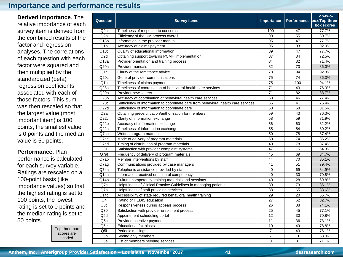#### **Importance and performance results**

**Derived importance**. The relative importance of each survey item is derived from the combined results of the factor and regression analyses. The correlations of each question with each factor were squared and then multiplied by the standardized (beta) regression coefficients associated with each of those factors. This sum was then rescaled so that the largest value (most important item) is 100 points, the smallest value is 0 points and the median value is 50 points.

#### **Performance.** Plan

performance is calculated for each survey variable. Ratings are rescaled on a 100-point basis (like importance values) so that the highest rating is set to 100 points, the lowest rating is set to 0 points and the median rating is set to 50 points.

| Top-three-box |
|---------------|
| scores are    |
| shaded        |

| Question          | <b>Survey items</b>                                                                | Importance      |             | Top-two-<br>Performance box/Top-three-<br>box scores |
|-------------------|------------------------------------------------------------------------------------|-----------------|-------------|------------------------------------------------------|
| Q2c               | Timeliness of response to concerns                                                 | 100             | 47          | 77.7%                                                |
| Q2b               | Efficiency of the UM process overall                                               | 99              | 55          | 80.7%                                                |
| Q18b              | Information in the provider manual                                                 | 95              | 47          | 77.7%                                                |
| Q <sub>1b</sub>   | Accuracy of claims payment                                                         | 95              | 93          | 92.0%                                                |
| $\overline{Q18c}$ | Quality of educational information                                                 | 89              | 47          | 77.7%                                                |
| Q2d               | Obtaining support towards PCMH implementation                                      | 87              | 34          | 72.5%                                                |
| Q18a              | Provider orientation and training process                                          | 84              | 32          | 71.4%                                                |
| Q20a              | Provider manuals                                                                   | 82              | 73          | 86.0%                                                |
| Q <sub>1</sub> c  | Clarity of the remittance advice                                                   | 78              | 94          | 92.3%                                                |
| Q20c              | General provider communications                                                    | 75              | 74          | 86.3%                                                |
| Q <sub>1</sub> a  | Timeliness of claims payment                                                       | $\overline{75}$ | 100         | 94.1%                                                |
| Q28a              | Timeliness of coordination of behavioral health care services                      | 71              | 43          | 76.3%                                                |
| Q20b              | Provider newsletters                                                               | $\overline{71}$ | 82          | 88.7%                                                |
| Q28b              | Accuracy of coordination of behavioral health care services                        | 68              | 46          | 77.4%                                                |
| Q28c              | Sufficiency of information to coordinate care from behavioral health care services | 66              | 41          | 75.4%                                                |
| Q22d              | Sufficiency of information to coordinate care                                      | 60              | 58          | 81.5%                                                |
| Q2a               | Obtaining precertification/authorization for members                               | 59              | 43          | 76.3%                                                |
| Q22c              | Clarity of information exchange                                                    | 58              | 59          | 81.9%                                                |
| Q22b              | Accuracy of information exchange                                                   | 56              | 60          | 82.2%                                                |
| Q22a              | Timeliness of information exchange                                                 | 55              | 54          | 80.2%                                                |
| Q7ac              | Written program materials                                                          | 50              | 78          | 87.4%                                                |
| Q7ae              | Mode of delivery of program materials                                              | $\overline{50}$ | 74          | 86.2%                                                |
| Q7ad              | Timing of distribution of program materials                                        | 49              | 78          | 87.4%                                                |
| Q <sub>31</sub>   | Satisfaction with provider complaint systems                                       | 47              | 15          | 64.3%                                                |
| Q7af              | Frequency of delivery of program materials                                         | 45              | 69          | 84.7%                                                |
| Q7ab              | Member interventions by staff                                                      | 44              | 70          | 85.1%                                                |
| Q7ag              | Communications provided by case managers                                           | 41              | 51          | 79.4%                                                |
| Q7aa              | Telephonic assistance provided by staff                                            | 40              | 69          | 84.9%                                                |
| Q14a              | Information received on cultural competency                                        | 40              | 30          | 70.8%                                                |
| Q14b              | Cultural competency training materials and sessions                                | 40              | 28          | 69.8%                                                |
| Q7c               | Helpfulness of Clinical Practice Guidelines in managing patients                   | 39              | 73          | 86.1%                                                |
| Q7b               | Helpfulness of staff providing services                                            | 38              | 65          | 83.6%                                                |
| Q14c              | Accessibility of state required behavioral health training                         | 29              | 20          | 66.7%                                                |
| Q <sub>4</sub>    | Rating of HEDIS education                                                          | 27              | 62          | 82.7%                                                |
| Q3c               | Responsiveness during appeals process                                              | 26              | 38          | 74.1%                                                |
| Q30               | Satisfaction with provider enrollment process                                      | 25              | 45          | 77.1%                                                |
| Q5d               | Appointment scheduling portal                                                      | 12              | 30          | 70.8%                                                |
| Q <sub>5c</sub>   | Provider incentive payments                                                        | 11              | 36          | 73.1%                                                |
| Q <sub>5e</sub>   | Educational fax blasts                                                             | 10              | 49          | 78.8%                                                |
| Q5f               | Periodic mailings                                                                  | $\overline{7}$  | 43          | 76.1%                                                |
| Q <sub>5</sub> b  | Seeing only members                                                                | $\overline{7}$  | $\mathbf 0$ | 58.0%                                                |
| Q5a               | List of members needing services                                                   | $\Omega$        | 31          | 71.1%                                                |